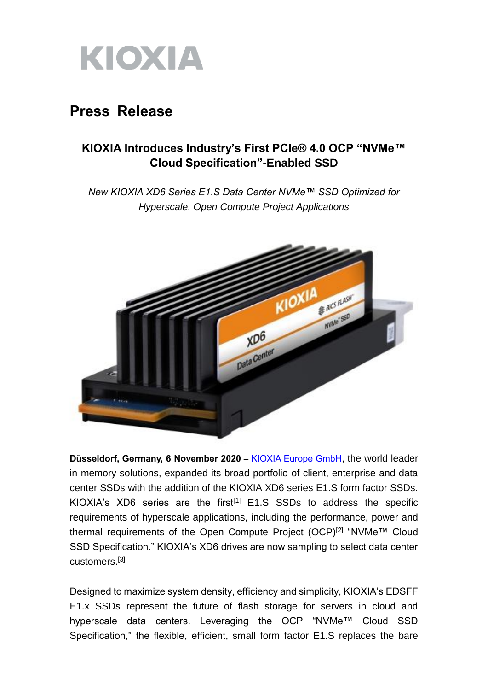

## **Press Release**

## **KIOXIA Introduces Industry's First PCIe® 4.0 OCP "NVMe™ Cloud Specification"-Enabled SSD**

*New KIOXIA XD6 Series E1.S Data Center NVMe™ SSD Optimized for Hyperscale, Open Compute Project Applications*



**Düsseldorf, Germany, 6 November 2020 –** [KIOXIA Europe GmbH](https://www.kioxia.com/en-emea/top.html), the world leader in memory solutions, expanded its broad portfolio of client, enterprise and data center SSDs with the addition of the KIOXIA XD6 series E1.S form factor SSDs. KIOXIA's XD6 series are the first<sup>[1]</sup> E1.S SSDs to address the specific requirements of hyperscale applications, including the performance, power and thermal requirements of the Open Compute Project (OCP)[2] "NVMe™ Cloud SSD Specification." KIOXIA's XD6 drives are now sampling to select data center customers.[3]

Designed to maximize system density, efficiency and simplicity, KIOXIA's EDSFF E1.x SSDs represent the future of flash storage for servers in cloud and hyperscale data centers. Leveraging the OCP "NVMe™ Cloud SSD Specification," the flexible, efficient, small form factor E1.S replaces the bare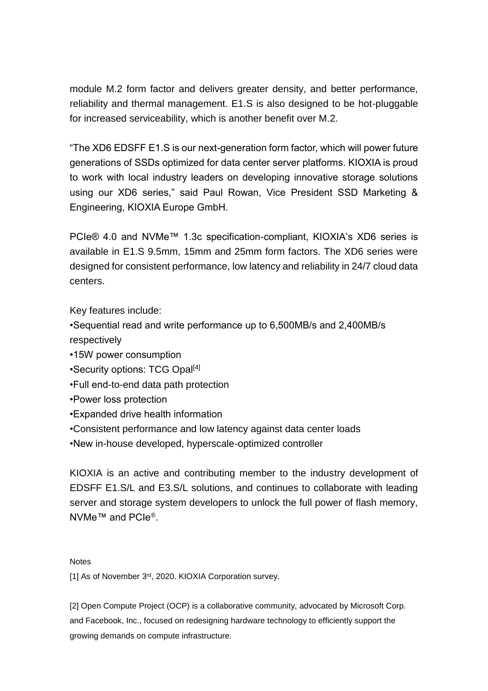module M.2 form factor and delivers greater density, and better performance, reliability and thermal management. E1.S is also designed to be hot-pluggable for increased serviceability, which is another benefit over M.2.

"The XD6 EDSFF E1.S is our next-generation form factor, which will power future generations of SSDs optimized for data center server platforms. KIOXIA is proud to work with local industry leaders on developing innovative storage solutions using our XD6 series," said Paul Rowan, Vice President SSD Marketing & Engineering, KIOXIA Europe GmbH.

PCIe® 4.0 and NVMe™ 1.3c specification-compliant, KIOXIA's XD6 series is available in E1.S 9.5mm, 15mm and 25mm form factors. The XD6 series were designed for consistent performance, low latency and reliability in 24/7 cloud data centers.

Key features include:

- •Sequential read and write performance up to 6,500MB/s and 2,400MB/s respectively
- •15W power consumption
- •Security options: TCG Opal<sup>[4]</sup>
- •Full end-to-end data path protection
- •Power loss protection
- •Expanded drive health information
- •Consistent performance and low latency against data center loads
- •New in-house developed, hyperscale-optimized controller

KIOXIA is an active and contributing member to the industry development of EDSFF E1.S/L and E3.S/L solutions, and continues to collaborate with leading server and storage system developers to unlock the full power of flash memory, NVMe<sup>™</sup> and PCIe®.

## **Notes**

[1] As of November 3<sup>rd</sup>, 2020. KIOXIA Corporation survey.

[2] Open Compute Project (OCP) is a collaborative community, advocated by Microsoft Corp. and Facebook, Inc., focused on redesigning hardware technology to efficiently support the growing demands on compute infrastructure.